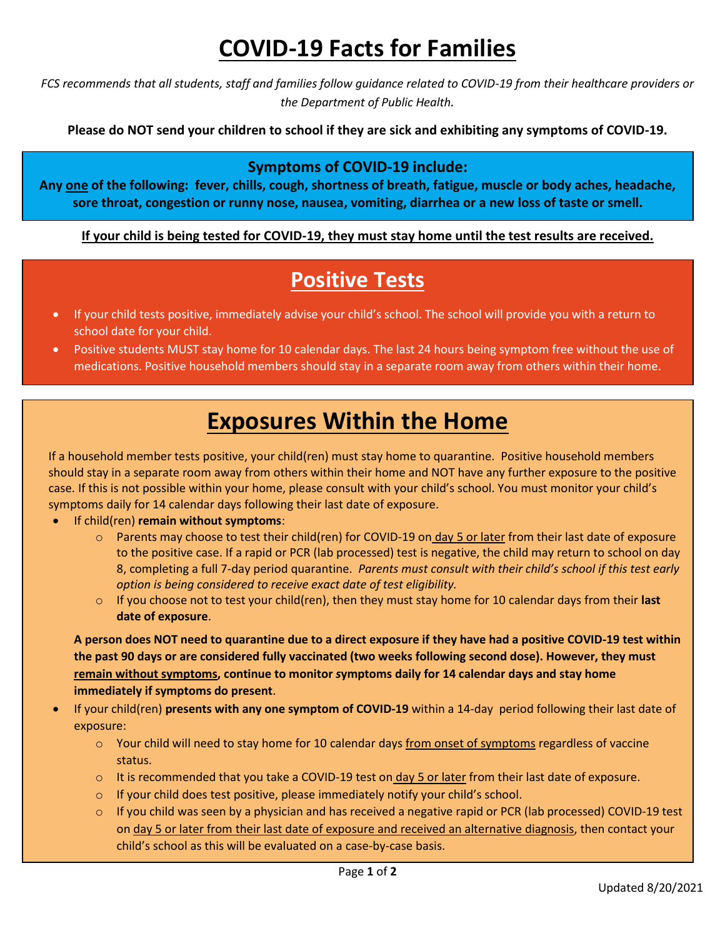## **COVID-19 Facts for Families**

*FCS recommends that all students, staff and families follow guidance related to COVID-19 from their healthcare providers or the Department of Public Health.*

**Please do NOT send your children to school if they are sick and exhibiting any symptoms of COVID-19.** 

#### **Symptoms of COVID-19 include:**

**Any one of the following: fever, chills, cough, shortness of breath, fatigue, muscle or body aches, headache, sore throat, congestion or runny nose, nausea, vomiting, diarrhea or a new loss of taste or smell.**

**If your child is being tested for COVID-19, they must stay home until the test results are received.**

#### **Positive Tests**

- If your child tests positive, immediately advise your child's school. The school will provide you with a return to school date for your child.
- Positive students MUST stay home for 10 calendar days. The last 24 hours being symptom free without the use of medications. Positive household members should stay in a separate room away from others within their home.

### **Exposures Within the Home**

If a household member tests positive, your child(ren) must stay home to quarantine. Positive household members should stay in a separate room away from others within their home and NOT have any further exposure to the positive case. If this is not possible within your home, please consult with your child's school. You must monitor your child's symptoms daily for 14 calendar days following their last date of exposure.

- If child(ren) **remain without symptoms**:
	- o Parents may choose to test their child(ren) for COVID-19 on day 5 or later from their last date of exposure to the positive case. If a rapid or PCR (lab processed) test is negative, the child may return to school on day 8, completing a full 7-day period quarantine. *Parents must consult with their child's school if this test early option is being considered to receive exact date of test eligibility.*
	- o If you choose not to test your child(ren), then they must stay home for 10 calendar days from their **last date of exposure**.

**A person does NOT need to quarantine due to a direct exposure if they have had a positive COVID-19 test within the past 90 days or are considered fully vaccinated (two weeks following second dose). However, they must remain without symptoms, continue to monitor** *s***ymptoms daily for 14 calendar days and stay home immediately if symptoms do present**.

- If your child(ren) **presents with any one symptom of COVID-19** within a 14-day period following their last date of exposure:
	- $\circ$  Your child will need to stay home for 10 calendar days from onset of symptoms regardless of vaccine status.
	- $\circ$  It is recommended that you take a COVID-19 test on day 5 or later from their last date of exposure.
	- o If your child does test positive, please immediately notify your child's school.
	- If you child was seen by a physician and has received a negative rapid or PCR (lab processed) COVID-19 test on day 5 or later from their last date of exposure and received an alternative diagnosis, then contact your child's school as this will be evaluated on a case-by-case basis.